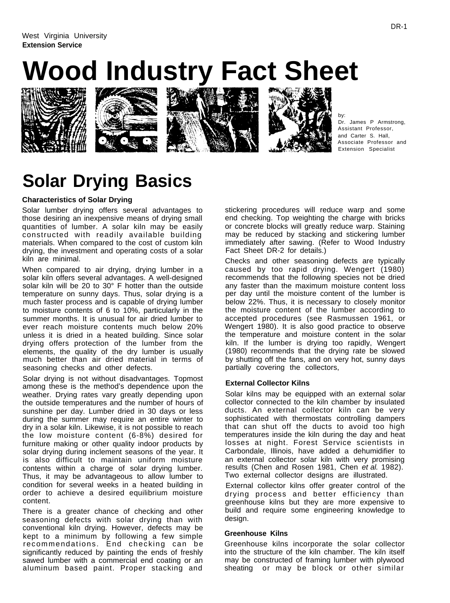# **Wood Industry Fact Sheet**









by: Dr. James P Armstrong, Assistant Professor, and Carter S. Hall, Associate Professor and Extension Specialist

## **Solar Drying Basics**

### **Characteristics of Solar Drying**

Solar lumber drying offers several advantages to those desiring an inexpensive means of drying small quantities of lumber. A solar kiln may be easily constructed with readily available building materials. When compared to the cost of custom kiln drying, the investment and operating costs of a solar kiln are minimal.

When compared to air drying, drying lumber in a solar kiln offers several advantages. A well-designed solar kiln will be 20 to 30° F hotter than the outside temperature on sunny days. Thus, solar drying is a much faster process and is capable of drying lumber to moisture contents of 6 to 10%, particularly in the summer months. It is unusual for air dried lumber to ever reach moisture contents much below 20% unless it is dried in a heated building. Since solar drying offers protection of the lumber from the elements, the quality of the dry lumber is usually much better than air dried material in terms of seasoning checks and other defects.

Solar drying is not without disadvantages. Topmost among these is the method's dependence upon the weather. Drying rates vary greatly depending upon the outside temperatures and the number of hours of sunshine per day. Lumber dried in 30 days or less during the summer may require an entire winter to dry in a solar kiln. Likewise, it is not possible to reach the low moisture content (6-8%) desired for furniture making or other quality indoor products by solar drying during inclement seasons of the year. It is also difficult to maintain uniform moisture contents within a charge of solar drying lumber. Thus, it may be advantageous to allow lumber to condition for several weeks in a heated building in order to achieve a desired equilibrium moisture content.

There is a greater chance of checking and other seasoning defects with solar drying than with conventional kiln drying. However, defects may be kept to a minimum by following a few simple recommendations. End checking can be significantly reduced by painting the ends of freshly sawed lumber with a commercial end coating or an aluminum based paint. Proper stacking and stickering procedures will reduce warp and some end checking. Top weighting the charge with bricks or concrete blocks will greatly reduce warp. Staining may be reduced by stacking and stickering lumber immediately after sawing. (Refer to Wood Industry Fact Sheet DR-2 for details.)

Checks and other seasoning defects are typically caused by too rapid drying. Wengert (1980) recommends that the following species not be dried any faster than the maximum moisture content loss per day until the moisture content of the lumber is below 22%. Thus, it is necessary to closely monitor the moisture content of the lumber according to accepted procedures (see Rasmussen 1961, or Wengert 1980). It is also good practice to observe the temperature and moisture content in the solar kiln. If the lumber is drying too rapidly, Wengert (1980) recommends that the drying rate be slowed by shutting off the fans, and on very hot, sunny days partially covering the collectors,

#### **External Collector Kilns**

Solar kilns may be equipped with an external solar collector connected to the kiln chamber by insulated ducts. An external collector kiln can be very sophisticated with thermostats controlling dampers that can shut off the ducts to avoid too high temperatures inside the kiln during the day and heat losses at night. Forest Service scientists in Carbondale, Illinois, have added a dehumidifier to an external collector solar kiln with very promising results (Chen and Rosen 1981, Chen et al. 1982). Two external collector designs are illustrated.

External collector kilns offer greater control of the drying process and better efficiency than greenhouse kilns but they are more expensive to build and require some engineering knowledge to desian.

#### **Greenhouse Kilns**

Greenhouse kilns incorporate the solar collector into the structure of the kiln chamber. The kiln itself may be constructed of framing lumber with plywood sheating or may be block or other similar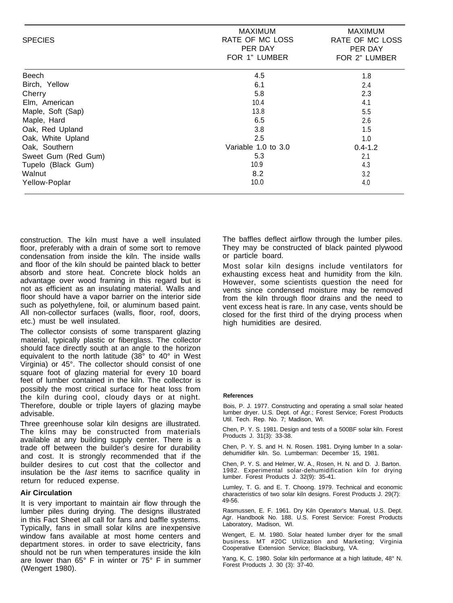| <b>SPECIES</b>      | <b>MAXIMUM</b><br>RATE OF MC LOSS<br>PER DAY<br>FOR 1" LUMBER | <b>MAXIMUM</b><br>RATE OF MC LOSS<br>PER DAY<br>FOR 2" LUMBER |
|---------------------|---------------------------------------------------------------|---------------------------------------------------------------|
| <b>Beech</b>        | 4.5                                                           | 1.8                                                           |
| Birch, Yellow       | 6.1                                                           | 2.4                                                           |
| Cherry              | 5.8                                                           | 2.3                                                           |
| Elm, American       | 10.4                                                          | 4.1                                                           |
| Maple, Soft (Sap)   | 13.8                                                          | 5.5                                                           |
| Maple, Hard         | 6.5                                                           | 2.6                                                           |
| Oak, Red Upland     | 3.8                                                           | 1.5                                                           |
| Oak, White Upland   | 2.5                                                           | 1.0                                                           |
| Oak, Southern       | Variable 1.0 to 3.0                                           | $0.4 - 1.2$                                                   |
| Sweet Gum (Red Gum) | 5.3                                                           | 2.1                                                           |
| Tupelo (Black Gum)  | 10.9                                                          | 4.3                                                           |
| Walnut              | 8.2                                                           | 3.2                                                           |
| Yellow-Poplar       | 10.0                                                          | 4.0                                                           |

construction. The kiln must have a well insulated floor, preferably with a drain of some sort to remove condensation from inside the kiln. The inside walls and floor of the kiln should be painted black to better absorb and store heat. Concrete block holds an advantage over wood framing in this regard but is not as efficient as an insulating material. Walls and floor should have a vapor barrier on the interior side such as polyethylene, foil, or aluminum based paint. All non-collector surfaces (walls, floor, roof, doors, etc.) must be well insulated.

The collector consists of some transparent glazing material, typically plastic or fiberglass. The collector should face directly south at an angle to the horizon equivalent to the north latitude (38° to 40° in West Virginia) or 45°. The collector should consist of one square foot of glazing material for every 10 board feet of lumber contained in the kiln. The collector is possibly the most critical surface for heat loss from the kiln during cool, cloudy days or at night. Therefore, double or triple layers of glazing maybe advisable.

Three greenhouse solar kiln designs are illustrated. The kilns may be constructed from materials available at any building supply center. There is a trade off between the builder's desire for durability and cost. It is strongly recommended that if the builder desires to cut cost that the collector and insulation be the last items to sacrifice quality in return for reduced expense.

#### **Air Circulation**

It is very important to maintain air flow through the lumber piles during drying. The designs illustrated in this Fact Sheet all call for fans and baffle systems. Typically, fans in small solar kilns are inexpensive window fans available at most home centers and department stores. in order to save electricity, fans should not be run when temperatures inside the kiln are lower than 65° F in winter or 75° F in summer (Wengert 1980).

The baffles deflect airflow through the Iumber piles. They may be constructed of black painted plywood or particle board.

Most solar kiln designs include ventilators for exhausting excess heat and humidity from the kiln. However, some scientists question the need for vents since condensed moisture may be removed from the kiln through floor drains and the need to vent excess heat is rare. In any case, vents should be closed for the first third of the drying process when high humidities are desired.

#### **References**

Bois, P. J. 1977. Constructing and operating a small solar heated lumber dryer. U.S. Dept. of Agr.; Forest Service; Forest Products Util. Tech. Rep. No. 7; Madison, WI.

Chen, P. Y. S. 1981. Design and tests of a 500BF solar kiln. Forest Products J. 31(3): 33-38.

Chen, P. Y. S. and H. N. Rosen. 1981. Drying lumber In a solardehumidifier kiln. So. Lumberman: December 15, 1981.

Chen, P. Y. S. and Helmer, W. A., Rosen, H. N. and D. J. Barton. 1982. Experimental solar-dehumidification kiln for drying lumber. Forest Products J. 32(9): 35-41.

Lumley, T. G. and E. T. Choong. 1979. Technical and economic characteristics of two solar kiln designs. Forest Products J. 29(7): 49-56.

Rasmussen, E. F. 1961. Dry Kiln Operator's Manual, U.S. Dept. Agr. Handbook No. 188. U.S. Forest Service: Forest Products Laboratory, Madison, WI.

Wengert, E. M. 1980. Solar heated lumber dryer for the small business. MT #20C Utilization and Marketing; Virginia Cooperative Extension Service; Blacksburg, VA.

Yang, K, C. 1980. Solar kiln performance at a high latitude, 48° N. Forest Products J. 30 (3): 37-40.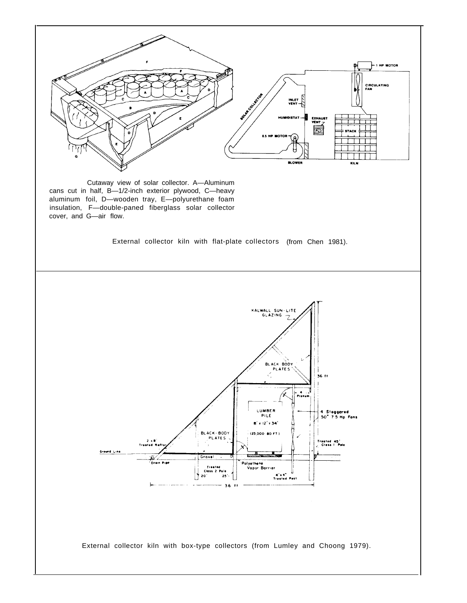